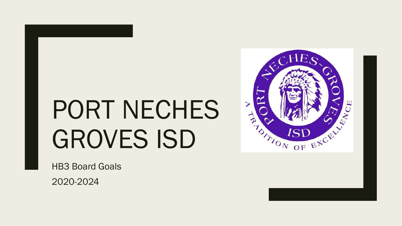# PORT NECHES GROVES ISD

HB3 Board Goals

2020-2024

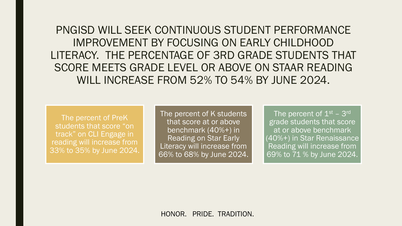PNGISD WILL SEEK CONTINUOUS STUDENT PERFORMANCE IMPROVEMENT BY FOCUSING ON EARLY CHILDHOOD LITERACY. THE PERCENTAGE OF 3RD GRADE STUDENTS THAT SCORE MEETS GRADE LEVEL OR ABOVE ON STAAR READING WILL INCREASE FROM 52% TO 54% BY JUNE 2024.

The percent of PreK students that score "on track" on CLI Engage in reading will increase from 33% to 35% by June 2024.

The percent of K students that score at or above benchmark (40%+) in Reading on Star Early Literacy will increase from 66% to 68% by June 2024.

The percent of  $1^{\rm st}$  –  $3^{\rm rd}$ grade students that score at or above benchmark (40%+) in Star Renaissance Reading will increase from 69% to 71 % by June 2024.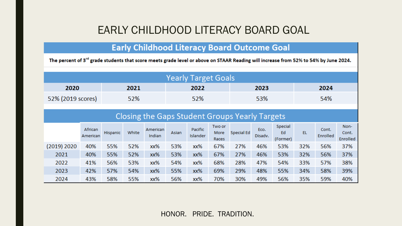# EARLY CHILDHOOD LITERACY BOARD GOAL

## **Early Childhood Literacy Board Outcome Goal**

The percent of 3<sup>rd</sup> grade students that score meets grade level or above on STAAR Reading will increase from 52% to 54% by June 2024.

|                   |      | <b>Yearly Target Goals</b> |      |      |
|-------------------|------|----------------------------|------|------|
| 2020              | 2021 | 2022                       | 2023 | 2024 |
| 52% (2019 scores) | 52%  | 52%                        | 53%  | 54%  |

#### **Closing the Gaps Student Groups Yearly Targets**

|             | African<br>American | Hispanic | White | American<br>Indian | Asian | <b>Pacific</b><br>Islander | Two or<br>More<br>Races | Special Ed | Eco.<br>Disadv. | Special<br>Ed<br>(Former) | EL  | Cont.<br>Enrolled | Non-<br>Cont.<br>Enrolled |
|-------------|---------------------|----------|-------|--------------------|-------|----------------------------|-------------------------|------------|-----------------|---------------------------|-----|-------------------|---------------------------|
| (2019) 2020 | 40%                 | 55%      | 52%   | xx%                | 53%   | xx%                        | 67%                     | 27%        | 46%             | 53%                       | 32% | 56%               | 37%                       |
| 2021        | 40%                 | 55%      | 52%   | xx%                | 53%   | xx%                        | 67%                     | 27%        | 46%             | 53%                       | 32% | 56%               | 37%                       |
| 2022        | 41%                 | 56%      | 53%   | xx%                | 54%   | xx%                        | 68%                     | 28%        | 47%             | 54%                       | 33% | 57%               | 38%                       |
| 2023        | 42%                 | 57%      | 54%   | xx%                | 55%   | xx%                        | 69%                     | 29%        | 48%             | 55%                       | 34% | 58%               | 39%                       |
| 2024        | 43%                 | 58%      | 55%   | xx%                | 56%   | xx%                        | 70%                     | 30%        | 49%             | 56%                       | 35% | 59%               | 40%                       |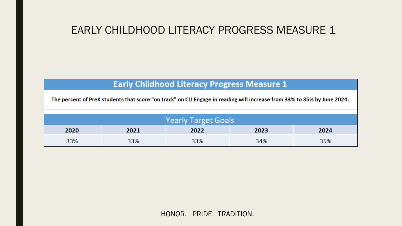# EARLY CHILDHOOD LITERACY PROGRESS MEASURE 1

## **Early Childhood Literacy Progress Measure 1**

The percent of PreK students that score "on track" on CLI Engage in reading will increase from 33% to 35% by June 2024.

|      | <b>Yearly Target Goals</b> |      |      |      |  |  |  |  |  |  |  |  |  |
|------|----------------------------|------|------|------|--|--|--|--|--|--|--|--|--|
| 2020 | 2021                       | 2022 | 2023 | 2024 |  |  |  |  |  |  |  |  |  |
| 33%  | 33%                        | 33%  | 34%  | 35%  |  |  |  |  |  |  |  |  |  |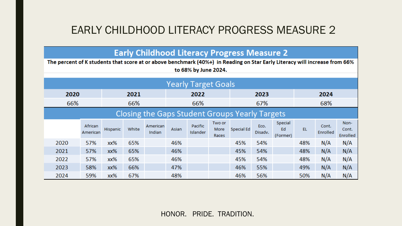# EARLY CHILDHOOD LITERACY PROGRESS MEASURE 2

**Early Childhood Literacy Progress Measure 2** 

| The percent of K students that score at or above benchmark (40%+) in Reading on Star Early Literacy will increase from 66%<br>to 68% by June 2024. |                     |          |       |                    |       |                            |                         |                                                |                 |                           |     |                   |                           |  |
|----------------------------------------------------------------------------------------------------------------------------------------------------|---------------------|----------|-------|--------------------|-------|----------------------------|-------------------------|------------------------------------------------|-----------------|---------------------------|-----|-------------------|---------------------------|--|
| <b>Yearly Target Goals</b>                                                                                                                         |                     |          |       |                    |       |                            |                         |                                                |                 |                           |     |                   |                           |  |
| 2020                                                                                                                                               |                     |          | 2021  |                    |       | 2022                       |                         |                                                | 2023            |                           |     | 2024              |                           |  |
| 66%                                                                                                                                                |                     |          | 66%   |                    |       | 66%                        |                         |                                                | 67%             |                           |     | 68%               |                           |  |
|                                                                                                                                                    |                     |          |       |                    |       |                            |                         | Closing the Gaps Student Groups Yearly Targets |                 |                           |     |                   |                           |  |
|                                                                                                                                                    | African<br>American | Hispanic | White | American<br>Indian | Asian | Pacific<br><b>Islander</b> | Two or<br>More<br>Races | Special Ed                                     | Eco.<br>Disadv. | Special<br>Ed<br>(Former) | EL  | Cont.<br>Enrolled | Non-<br>Cont.<br>Enrolled |  |
| 2020                                                                                                                                               | 57%                 | xx%      | 65%   |                    | 46%   |                            |                         | 45%                                            | 54%             |                           | 48% | N/A               | N/A                       |  |
| 2021                                                                                                                                               | 57%                 | xx%      | 65%   |                    | 46%   |                            |                         | 45%                                            | 54%             |                           | 48% | N/A               | N/A                       |  |
| 2022                                                                                                                                               | 57%                 | xx%      | 65%   |                    | 46%   |                            |                         | 45%                                            | 54%             |                           | 48% | N/A               | N/A                       |  |
| 2023                                                                                                                                               | 58%                 | xx%      | 66%   |                    | 47%   |                            |                         | 46%                                            | 55%             |                           | 49% | N/A               | N/A                       |  |
| 2024                                                                                                                                               | 59%                 | xx%      | 67%   |                    | 48%   |                            |                         | 46%                                            | 56%             |                           | 50% | N/A               | N/A                       |  |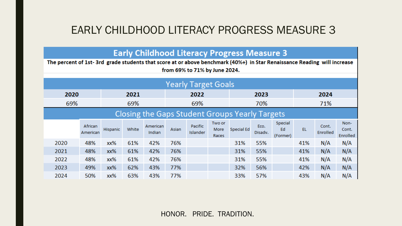# EARLY CHILDHOOD LITERACY PROGRESS MEASURE 3

**Early Childhood Literacy Progress Measure 3** 

|      | The percent of 1st-3rd grade students that score at or above benchmark (40%+) in Star Renaissance Reading will increase<br>from 69% to 71% by June 2024. |          |       |                    |       |                            |                         |            |                 |                           |     |                   |                           |  |  |
|------|----------------------------------------------------------------------------------------------------------------------------------------------------------|----------|-------|--------------------|-------|----------------------------|-------------------------|------------|-----------------|---------------------------|-----|-------------------|---------------------------|--|--|
|      | <b>Yearly Target Goals</b>                                                                                                                               |          |       |                    |       |                            |                         |            |                 |                           |     |                   |                           |  |  |
|      | 2020<br>2024<br>2021<br>2022<br>2023                                                                                                                     |          |       |                    |       |                            |                         |            |                 |                           |     |                   |                           |  |  |
| 69%  |                                                                                                                                                          |          | 69%   |                    |       | 69%                        |                         |            | 70%             |                           |     | 71%               |                           |  |  |
|      | <b>Closing the Gaps Student Groups Yearly Targets</b>                                                                                                    |          |       |                    |       |                            |                         |            |                 |                           |     |                   |                           |  |  |
|      | African<br>American                                                                                                                                      | Hispanic | White | American<br>Indian | Asian | Pacific<br><b>Islander</b> | Two or<br>More<br>Races | Special Ed | Eco.<br>Disadv. | Special<br>Ed<br>(Former) | EL  | Cont.<br>Enrolled | Non-<br>Cont.<br>Enrolled |  |  |
| 2020 | 48%                                                                                                                                                      | xx%      | 61%   | 42%                | 76%   |                            |                         | 31%        | 55%             |                           | 41% | N/A               | N/A                       |  |  |
| 2021 | 48%                                                                                                                                                      | xx%      | 61%   | 42%                | 76%   |                            |                         | 31%        | 55%             |                           | 41% | N/A               | N/A                       |  |  |
| 2022 | 48%                                                                                                                                                      | xx%      | 61%   | 42%                | 76%   |                            |                         | 31%        | 55%             |                           | 41% | N/A               | N/A                       |  |  |
| 2023 | 49%                                                                                                                                                      | xx%      | 62%   | 43%                | 77%   |                            |                         | 32%        | 56%             |                           | 42% | N/A               | N/A                       |  |  |
| 2024 | 50%                                                                                                                                                      | xx%      | 63%   | 43%                | 77%   |                            |                         | 33%        | 57%             |                           | 43% | N/A               | N/A                       |  |  |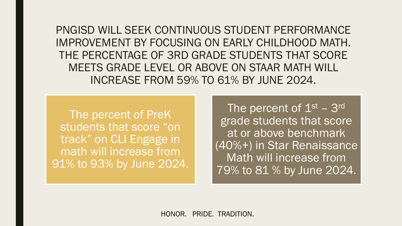PNGISD WILL SEEK CONTINUOUS STUDENT PERFORMANCE IMPROVEMENT BY FOCUSING ON EARLY CHILDHOOD MATH. THE PERCENTAGE OF 3RD GRADE STUDENTS THAT SCORE MEETS GRADE LEVEL OR ABOVE ON STAAR MATH WILL INCREASE FROM 59% TO 61% BY JUNE 2024.

The percent of PreK students that score "on track" on CLI Engage in math will increase from 91% to 93% by June 2024.

The percent of  $1^\mathrm{st}$  –  $3^\mathrm{rd}$ grade students that score at or above benchmark (40%+) in Star Renaissance Math will increase from 79% to 81 % by June 2024.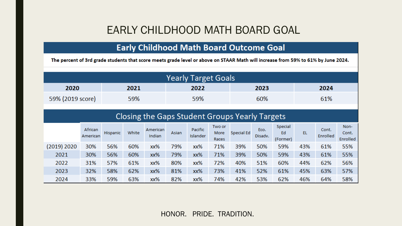# EARLY CHILDHOOD MATH BOARD GOAL

## **Early Childhood Math Board Outcome Goal**

The percent of 3rd grade students that score meets grade level or above on STAAR Math will increase from 59% to 61% by June 2024.

|                  |      | <b>Yearly Target Goals</b> |      |      |
|------------------|------|----------------------------|------|------|
| 2020             | 2021 | 2022                       | 2023 | 2024 |
| 59% (2019 score) | 59%  | 59%                        | 60%  | 61%  |

## Closing the Gaps Student Groups Yearly Targets

|             | African<br>American | Hispanic | White | American<br>Indian | Asian | Pacific<br>Islander | Two or<br>More<br>Races | Special Ed | Eco.<br>Disadv. | Special<br>Ed<br>(Former) | EL  | Cont.<br>Enrolled | Non-<br>Cont.<br>Enrolled |
|-------------|---------------------|----------|-------|--------------------|-------|---------------------|-------------------------|------------|-----------------|---------------------------|-----|-------------------|---------------------------|
| (2019) 2020 | 30%                 | 56%      | 60%   | xx%                | 79%   | xx%                 | 71%                     | 39%        | 50%             | 59%                       | 43% | 61%               | 55%                       |
| 2021        | 30%                 | 56%      | 60%   | xx%                | 79%   | xx%                 | 71%                     | 39%        | 50%             | 59%                       | 43% | 61%               | 55%                       |
| 2022        | 31%                 | 57%      | 61%   | xx%                | 80%   | xx%                 | 72%                     | 40%        | 51%             | 60%                       | 44% | 62%               | 56%                       |
| 2023        | 32%                 | 58%      | 62%   | хх%                | 81%   | xx%                 | 73%                     | 41%        | 52%             | 61%                       | 45% | 63%               | 57%                       |
| 2024        | 33%                 | 59%      | 63%   | xx%                | 82%   | xx%                 | 74%                     | 42%        | 53%             | 62%                       | 46% | 64%               | 58%                       |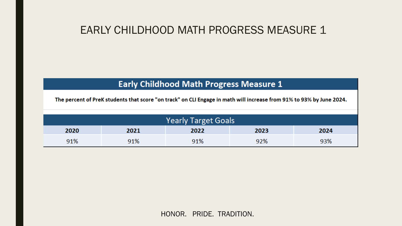# EARLY CHILDHOOD MATH PROGRESS MEASURE 1

## **Early Childhood Math Progress Measure 1**

The percent of PreK students that score "on track" on CLI Engage in math will increase from 91% to 93% by June 2024.

|      | <b>Yearly Target Goals</b> |      |      |      |  |  |  |  |  |  |  |  |  |
|------|----------------------------|------|------|------|--|--|--|--|--|--|--|--|--|
| 2020 | 2021                       | 2022 | 2023 | 2024 |  |  |  |  |  |  |  |  |  |
| 91%  | 91%                        | 91%  | 92%  | 93%  |  |  |  |  |  |  |  |  |  |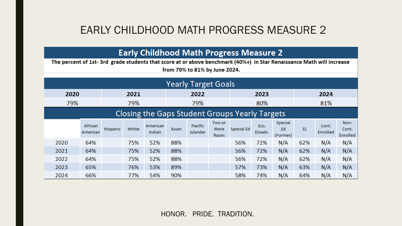# EARLY CHILDHOOD MATH PROGRESS MEASURE 2

**Early Childhood Math Progress Measure 2** 

The percent of 1st-3rd grade students that score at or above benchmark (40%+) in Star Renaissance Math will increase from 79% to 81% by June 2024.

|      |                     |          |       |                    |       | Yearly Target Goals                            |                         |            |                 |                           |     |                   |                           |  |
|------|---------------------|----------|-------|--------------------|-------|------------------------------------------------|-------------------------|------------|-----------------|---------------------------|-----|-------------------|---------------------------|--|
| 2020 |                     |          | 2021  |                    |       | 2022                                           |                         |            | 2023            |                           |     | 2024              |                           |  |
| 79%  |                     |          | 79%   |                    |       | 79%                                            |                         |            | 80%             |                           |     | 81%               |                           |  |
|      |                     |          |       |                    |       | Closing the Gaps Student Groups Yearly Targets |                         |            |                 |                           |     |                   |                           |  |
|      | African<br>American | Hispanic | White | American<br>Indian | Asian | Pacific<br><b>Islander</b>                     | Two or<br>More<br>Races | Special Ed | Eco.<br>Disadv. | Special<br>Ed<br>(Former) | EL  | Cont.<br>Enrolled | Non-<br>Cont.<br>Enrolled |  |
| 2020 | 64%                 |          | 75%   | 52%                | 88%   |                                                |                         | 56%        | 72%             | N/A                       | 62% | N/A               | N/A                       |  |
| 2021 | 64%                 |          | 75%   | 52%                | 88%   |                                                |                         | 56%        | 72%             | N/A                       | 62% | N/A               | N/A                       |  |
| 2022 | 64%                 |          | 75%   | 52%                | 88%   |                                                |                         | 56%        | 72%             | N/A                       | 62% | N/A               | N/A                       |  |
| 2023 | 65%                 |          | 76%   | 53%                | 89%   |                                                |                         | 57%        | 73%             | N/A                       | 63% | N/A               | N/A                       |  |
| 2024 | 66%                 |          | 77%   | 54%                | 90%   |                                                |                         | 58%        | 74%             | N/A                       | 64% | N/A               | N/A                       |  |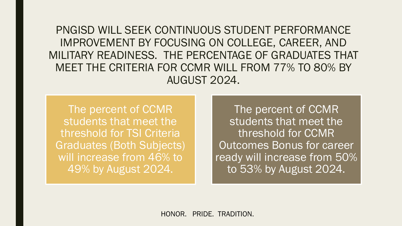PNGISD WILL SEEK CONTINUOUS STUDENT PERFORMANCE IMPROVEMENT BY FOCUSING ON COLLEGE, CAREER, AND MILITARY READINESS. THE PERCENTAGE OF GRADUATES THAT MEET THE CRITERIA FOR CCMR WILL FROM 77% TO 80% BY AUGUST 2024.

The percent of CCMR students that meet the threshold for TSI Criteria Graduates (Both Subjects) will increase from 46% to 49% by August 2024.

The percent of CCMR students that meet the threshold for CCMR Outcomes Bonus for career ready will increase from 50% to 53% by August 2024.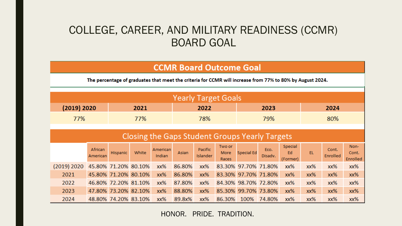# COLLEGE, CAREER, AND MILITARY READINESS (CCMR) BOARD GOAL

#### **CCMR Board Outcome Goal**

The percentage of graduates that meet the criteria for CCMR will increase from 77% to 80% by August 2024.

|             |                     |                      |                      |                    | <b>Yearly Target Goals</b> |                            |                         |                                                       |                 |                           |     |                          |                                  |
|-------------|---------------------|----------------------|----------------------|--------------------|----------------------------|----------------------------|-------------------------|-------------------------------------------------------|-----------------|---------------------------|-----|--------------------------|----------------------------------|
| (2019) 2020 |                     |                      | 2021                 |                    |                            | 2022                       |                         |                                                       | 2023            |                           |     | 2024                     |                                  |
| 77%         |                     |                      | 77%                  |                    |                            | 78%                        |                         |                                                       | 79%             |                           |     | 80%                      |                                  |
|             |                     |                      |                      |                    |                            |                            |                         | <b>Closing the Gaps Student Groups Yearly Targets</b> |                 |                           |     |                          |                                  |
|             | African<br>American | <b>Hispanic</b>      | White                | American<br>Indian | Asian                      | Pacific<br><b>Islander</b> | Two or<br>More<br>Races | <b>Special Ed</b>                                     | Eco.<br>Disadv. | Special<br>Ed<br>(Former) | EL  | Cont.<br><b>Enrolled</b> | Non-<br>Cont.<br><b>Enrolled</b> |
| (2019) 2020 |                     | 45.80% 71.20% 80.10% |                      | xx%                | 86.80%                     | xx%                        |                         | 83.30% 97.70% 71.80%                                  |                 | xx%                       | xx% | xx%                      | xx%                              |
| 2021        |                     |                      | 45.80% 71.20% 80.10% | xx%                | 86.80%                     | xx%                        |                         | 83.30% 97.70% 71.80%                                  |                 | xx%                       | xx% | xx%                      | xx%                              |
| 2022        |                     | 46.80% 72.20% 81.10% |                      | xx%                | 87.80%                     | xx%                        |                         | 84.30% 98.70% 72.80%                                  |                 | xx%                       | xx% | xx%                      | xx%                              |
| 2023        |                     |                      | 47.80% 73.20% 82.10% | xx%                | 88.80%                     | xx%                        | 85.30%                  | 99.70% 73.80%                                         |                 | xx%                       | xx% | xx%                      | xx%                              |
| 2024        |                     | 48.80% 74.20% 83.10% |                      | xx%                | 89.8x%                     | xx%                        | 86.30%                  | 100%                                                  | 74.80%          | $xx\%$                    | xx% | xx%                      | xx%                              |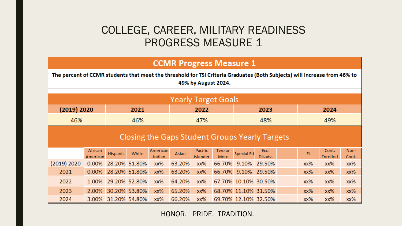## COLLEGE, CAREER, MILITARY READINESS PROGRESS MEASURE 1

#### **CCMR Progress Measure 1**

The percent of CCMR students that meet the threshold for TSI Criteria Graduates (Both Subjects) will increase from 46% to 49% by August 2024.

|                                                       |                     |          |                     |                    |        |                            | <b>Yearly Target Goals</b> |                      |                      |  |     |                   |               |  |
|-------------------------------------------------------|---------------------|----------|---------------------|--------------------|--------|----------------------------|----------------------------|----------------------|----------------------|--|-----|-------------------|---------------|--|
| (2019) 2020                                           |                     |          | 2021                |                    |        | 2022                       |                            |                      | 2023                 |  |     | 2024              |               |  |
| 46%                                                   |                     |          | 46%                 |                    |        | 47%                        |                            |                      | 48%                  |  | 49% |                   |               |  |
| <b>Closing the Gaps Student Groups Yearly Targets</b> |                     |          |                     |                    |        |                            |                            |                      |                      |  |     |                   |               |  |
|                                                       | African<br>American | Hispanic | White               | American<br>Indian | Asian  | Pacific<br><b>Islander</b> | Two or<br>More             | <b>Special Ed</b>    | Eco.<br>Disadv.      |  | EL  | Cont.<br>Enrolled | Non-<br>Cont. |  |
| (2019) 2020                                           | $0.00\%$            |          | 28.20% 51.80%       | xx%                | 63.20% | xx%                        | 66.70% 9.10%               |                      | 29.50%               |  | xx% | xx%               | xx%           |  |
| 2021                                                  | $0.00\%$            |          | 28.20% 51.80%       | xx%                | 63.20% | xx%                        | 66.70%                     | 9.10%                | 29.50%               |  | xx% | xx%               | xx%           |  |
| 2022                                                  |                     |          | 1.00% 29.20% 52.80% | xx%                | 64.20% | xx%                        |                            | 67.70% 10.10% 30.50% |                      |  | xx% | xx%               | xx%           |  |
| 2023                                                  | 2.00%               |          | 30.20% 53.80%       | xx%                | 65.20% | xx%                        |                            |                      | 68.70% 11.10% 31.50% |  | xx% | xx%               | xx%           |  |
| 2024                                                  | 3.00%               |          | 31.20% 54.80%       | xx%                | 66.20% | xx%                        |                            | 69.70% 12.10% 32.50% |                      |  | xx% | xx%               | xx%           |  |